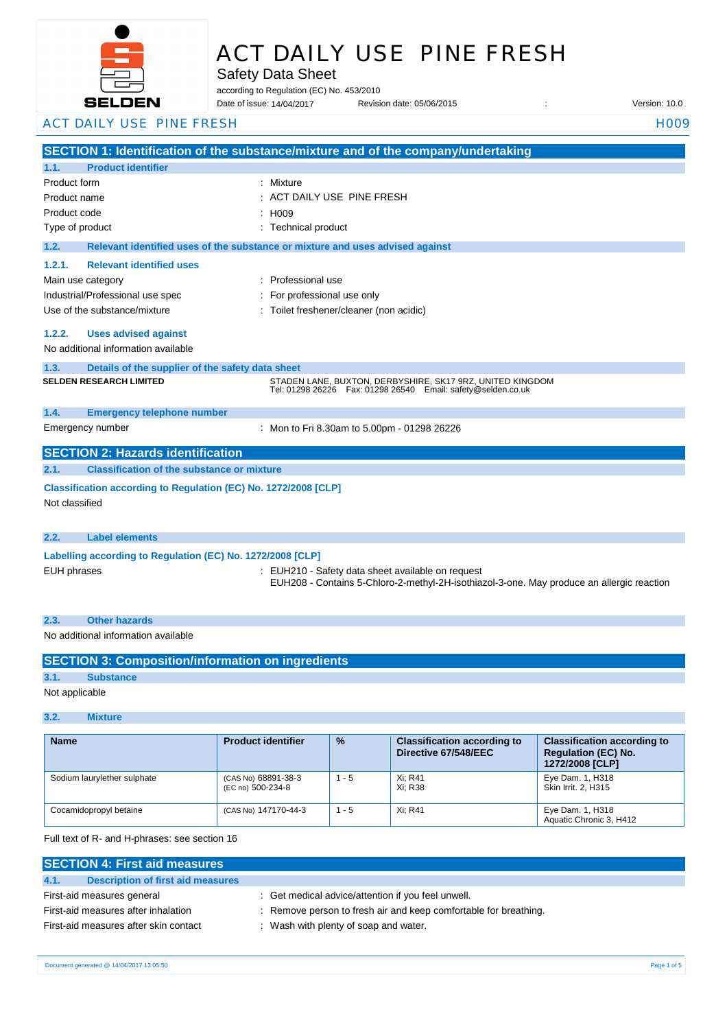

# ACT DAILY USE PINE FRESH

Safety Data Sheet

according to Regulation (EC) No. 453/2010

Revision date: 05/06/2015 : Version: 10.0 Date of issue: 14/04/2017

### ACT DAILY USE PINE FRESH HOOPS AND THE RESERVE THAT THE RESERVE THAT THE RESERVE THAT THE RESERVE THAT THE RESERVE THAT THE RESERVE THAT THE RESERVE THAT THE RESERVE THAT THE RESERVE THAT THE RESERVE THAT THE RESERVE THAT

|                                                                    | SECTION 1: Identification of the substance/mixture and of the company/undertaking                                               |  |  |
|--------------------------------------------------------------------|---------------------------------------------------------------------------------------------------------------------------------|--|--|
| <b>Product identifier</b><br>1.1.                                  |                                                                                                                                 |  |  |
| Product form                                                       | : Mixture                                                                                                                       |  |  |
| Product name                                                       | ACT DAILY USE PINE FRESH                                                                                                        |  |  |
| Product code                                                       | : H009                                                                                                                          |  |  |
| Type of product                                                    | : Technical product                                                                                                             |  |  |
| 1.2.                                                               | Relevant identified uses of the substance or mixture and uses advised against                                                   |  |  |
| <b>Relevant identified uses</b><br>1.2.1.                          |                                                                                                                                 |  |  |
| Main use category                                                  | : Professional use                                                                                                              |  |  |
| Industrial/Professional use spec                                   | For professional use only                                                                                                       |  |  |
| Use of the substance/mixture                                       | : Toilet freshener/cleaner (non acidic)                                                                                         |  |  |
| 1.2.2.                                                             |                                                                                                                                 |  |  |
| <b>Uses advised against</b><br>No additional information available |                                                                                                                                 |  |  |
|                                                                    |                                                                                                                                 |  |  |
| 1.3.<br>Details of the supplier of the safety data sheet           |                                                                                                                                 |  |  |
| <b>SELDEN RESEARCH LIMITED</b>                                     | STADEN LANE, BUXTON, DERBYSHIRE, SK17 9RZ, UNITED KINGDOM<br>Tel: 01298 26226    Fax: 01298 26540    Email: safety@selden.co.uk |  |  |
|                                                                    |                                                                                                                                 |  |  |
| <b>Emergency telephone number</b><br>1.4.                          |                                                                                                                                 |  |  |
| Emergency number                                                   | : Mon to Fri 8.30am to 5.00pm - 01298 26226                                                                                     |  |  |
| <b>SECTION 2: Hazards identification</b>                           |                                                                                                                                 |  |  |
| <b>Classification of the substance or mixture</b><br>2.1.          |                                                                                                                                 |  |  |
| Classification according to Regulation (EC) No. 1272/2008 [CLP]    |                                                                                                                                 |  |  |
| Not classified                                                     |                                                                                                                                 |  |  |
|                                                                    |                                                                                                                                 |  |  |
| <b>Label elements</b><br>2.2.                                      |                                                                                                                                 |  |  |
|                                                                    |                                                                                                                                 |  |  |
| Labelling according to Regulation (EC) No. 1272/2008 [CLP]         |                                                                                                                                 |  |  |
| <b>EUH</b> phrases                                                 | : EUH210 - Safety data sheet available on request                                                                               |  |  |

- 
- EUH208 Contains 5-Chloro-2-methyl-2H-isothiazol-3-one. May produce an allergic reaction

# **2.3. Other hazards**

# No additional information available

|                | <b>SECTION 3: Composition/information on ingredients</b> |
|----------------|----------------------------------------------------------|
| 3.1.           | <b>Substance</b>                                         |
| Not applicable |                                                          |

#### **3.2. Mixture**

| <b>Name</b>                 | <b>Product identifier</b>                | $\frac{9}{6}$ | <b>Classification according to</b><br>Directive 67/548/EEC | <b>Classification according to</b><br><b>Regulation (EC) No.</b><br>1272/2008 [CLP] |
|-----------------------------|------------------------------------------|---------------|------------------------------------------------------------|-------------------------------------------------------------------------------------|
| Sodium laurylether sulphate | (CAS No) 68891-38-3<br>(EC no) 500-234-8 | $1 - 5$       | Xi: R41<br>Xi: R38                                         | Eye Dam. 1, H318<br>Skin Irrit. 2. H315                                             |
| Cocamidopropyl betaine      | (CAS No) 147170-44-3                     | $1 - 5$       | Xi: R41                                                    | Eye Dam. 1, H318<br>Aquatic Chronic 3, H412                                         |

Full text of R- and H-phrases: see section 16

| <b>SECTION 4: First aid measures</b>      |                                                                  |  |  |
|-------------------------------------------|------------------------------------------------------------------|--|--|
| 4.1.<br>Description of first aid measures |                                                                  |  |  |
| First-aid measures general                | : Get medical advice/attention if you feel unwell.               |  |  |
| First-aid measures after inhalation       | : Remove person to fresh air and keep comfortable for breathing. |  |  |
| First-aid measures after skin contact     | : Wash with plenty of soap and water.                            |  |  |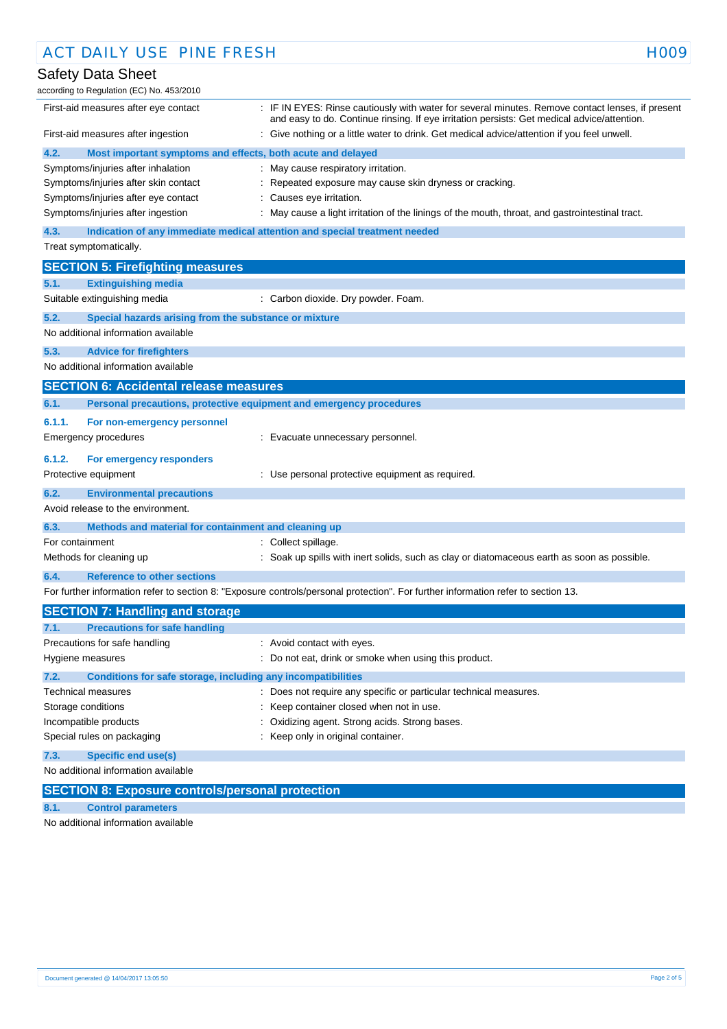| <b>ACT DAILY USE PINE FRESH</b>                                                                                                                                | H <sub>009</sub>                                                                                                                                                                                                                                                                                          |
|----------------------------------------------------------------------------------------------------------------------------------------------------------------|-----------------------------------------------------------------------------------------------------------------------------------------------------------------------------------------------------------------------------------------------------------------------------------------------------------|
| Safety Data Sheet                                                                                                                                              |                                                                                                                                                                                                                                                                                                           |
| according to Regulation (EC) No. 453/2010                                                                                                                      |                                                                                                                                                                                                                                                                                                           |
| First-aid measures after eye contact<br>First-aid measures after ingestion                                                                                     | : IF IN EYES: Rinse cautiously with water for several minutes. Remove contact lenses, if present<br>and easy to do. Continue rinsing. If eye irritation persists: Get medical advice/attention.<br>: Give nothing or a little water to drink. Get medical advice/attention if you feel unwell.            |
| 4.2.<br>Most important symptoms and effects, both acute and delayed                                                                                            |                                                                                                                                                                                                                                                                                                           |
| Symptoms/injuries after inhalation<br>Symptoms/injuries after skin contact<br>Symptoms/injuries after eye contact<br>Symptoms/injuries after ingestion<br>4.3. | : May cause respiratory irritation.<br>: Repeated exposure may cause skin dryness or cracking.<br>: Causes eye irritation.<br>May cause a light irritation of the linings of the mouth, throat, and gastrointestinal tract.<br>Indication of any immediate medical attention and special treatment needed |
| Treat symptomatically.                                                                                                                                         |                                                                                                                                                                                                                                                                                                           |
| <b>SECTION 5: Firefighting measures</b>                                                                                                                        |                                                                                                                                                                                                                                                                                                           |
| 5.1.<br><b>Extinguishing media</b>                                                                                                                             |                                                                                                                                                                                                                                                                                                           |
| Suitable extinguishing media                                                                                                                                   | : Carbon dioxide. Dry powder. Foam.                                                                                                                                                                                                                                                                       |
| 5.2.<br>Special hazards arising from the substance or mixture                                                                                                  |                                                                                                                                                                                                                                                                                                           |
| No additional information available                                                                                                                            |                                                                                                                                                                                                                                                                                                           |
| 5.3.<br><b>Advice for firefighters</b>                                                                                                                         |                                                                                                                                                                                                                                                                                                           |
| No additional information available                                                                                                                            |                                                                                                                                                                                                                                                                                                           |
| <b>SECTION 6: Accidental release measures</b>                                                                                                                  |                                                                                                                                                                                                                                                                                                           |
| 6.1.<br>Personal precautions, protective equipment and emergency procedures                                                                                    |                                                                                                                                                                                                                                                                                                           |
| 6.1.1.<br>For non-emergency personnel                                                                                                                          |                                                                                                                                                                                                                                                                                                           |
| <b>Emergency procedures</b>                                                                                                                                    | : Evacuate unnecessary personnel.                                                                                                                                                                                                                                                                         |
|                                                                                                                                                                |                                                                                                                                                                                                                                                                                                           |
| 6.1.2.<br>For emergency responders<br>Protective equipment                                                                                                     | : Use personal protective equipment as required.                                                                                                                                                                                                                                                          |
|                                                                                                                                                                |                                                                                                                                                                                                                                                                                                           |
| 6.2.<br><b>Environmental precautions</b><br>Avoid release to the environment.                                                                                  |                                                                                                                                                                                                                                                                                                           |
|                                                                                                                                                                |                                                                                                                                                                                                                                                                                                           |
| 6.3.<br>Methods and material for containment and cleaning up                                                                                                   |                                                                                                                                                                                                                                                                                                           |
| For containment                                                                                                                                                | : Collect spillage.                                                                                                                                                                                                                                                                                       |
| Methods for cleaning up                                                                                                                                        | : Soak up spills with inert solids, such as clay or diatomaceous earth as soon as possible.                                                                                                                                                                                                               |
| 6.4.<br><b>Reference to other sections</b>                                                                                                                     |                                                                                                                                                                                                                                                                                                           |
|                                                                                                                                                                | For further information refer to section 8: "Exposure controls/personal protection". For further information refer to section 13.                                                                                                                                                                         |
| <b>SECTION 7: Handling and storage</b>                                                                                                                         |                                                                                                                                                                                                                                                                                                           |
| <b>Precautions for safe handling</b><br>7.1.                                                                                                                   |                                                                                                                                                                                                                                                                                                           |
| Precautions for safe handling                                                                                                                                  | : Avoid contact with eyes.                                                                                                                                                                                                                                                                                |
| Hygiene measures                                                                                                                                               | : Do not eat, drink or smoke when using this product.                                                                                                                                                                                                                                                     |
| 7.2.<br>Conditions for safe storage, including any incompatibilities                                                                                           |                                                                                                                                                                                                                                                                                                           |
| <b>Technical measures</b>                                                                                                                                      | : Does not require any specific or particular technical measures.                                                                                                                                                                                                                                         |
| Storage conditions                                                                                                                                             | Keep container closed when not in use.                                                                                                                                                                                                                                                                    |
| Incompatible products                                                                                                                                          | Oxidizing agent. Strong acids. Strong bases.                                                                                                                                                                                                                                                              |
| Special rules on packaging                                                                                                                                     | : Keep only in original container.                                                                                                                                                                                                                                                                        |
| 7.3.<br><b>Specific end use(s)</b>                                                                                                                             |                                                                                                                                                                                                                                                                                                           |
| No additional information available                                                                                                                            |                                                                                                                                                                                                                                                                                                           |
| CECTION O. Funcation controlations                                                                                                                             |                                                                                                                                                                                                                                                                                                           |

**SECTION 8: Exposure controls/personal protection**

**8.1. Control parameters**

No additional information available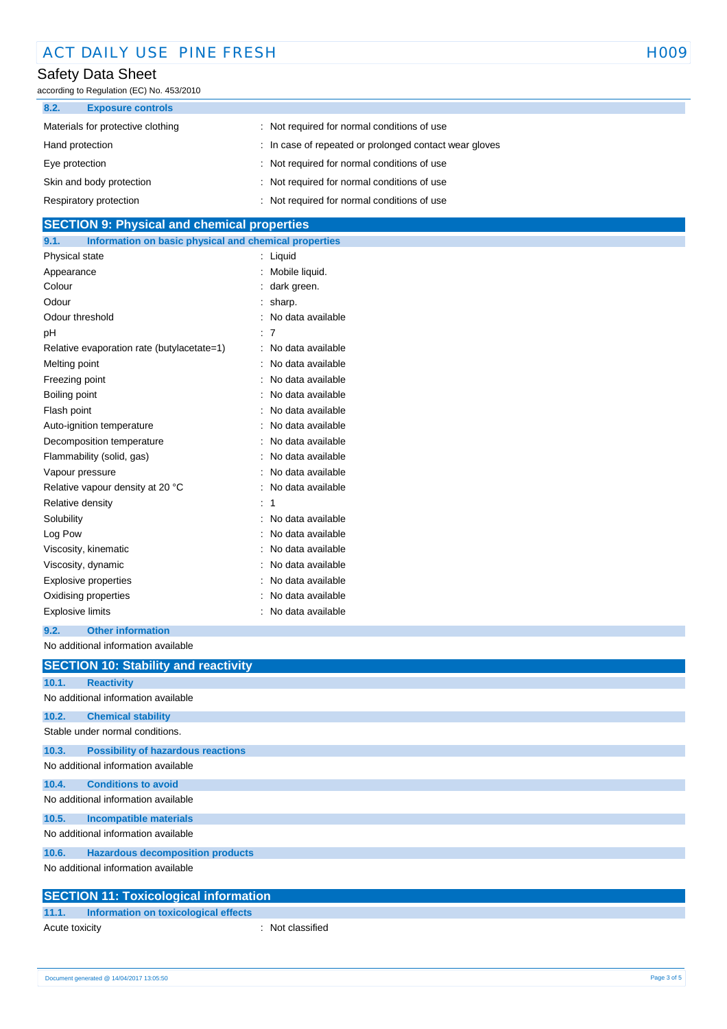# Safety Data Sheet

according to Regulation (EC) No. 453/2010

| 8.2.            | <b>Exposure controls</b>          |                                                        |
|-----------------|-----------------------------------|--------------------------------------------------------|
|                 | Materials for protective clothing | : Not required for normal conditions of use            |
| Hand protection |                                   | : In case of repeated or prolonged contact wear gloves |
| Eye protection  |                                   | : Not required for normal conditions of use            |
|                 | Skin and body protection          | : Not required for normal conditions of use            |
|                 | Respiratory protection            | : Not required for normal conditions of use            |

### **SECTION 9: Physical and chemical properties**

| Information on basic physical and chemical properties<br>9.1. |                   |
|---------------------------------------------------------------|-------------------|
| Physical state                                                | Liquid            |
| Appearance                                                    | Mobile liquid.    |
| Colour                                                        | dark green.       |
| Odour                                                         | sharp.            |
| Odour threshold                                               | No data available |
| рH                                                            | -7                |
| Relative evaporation rate (butylacetate=1)                    | No data available |
| Melting point                                                 | No data available |
| Freezing point                                                | No data available |
| Boiling point                                                 | No data available |
| Flash point                                                   | No data available |
| Auto-ignition temperature                                     | No data available |
| Decomposition temperature                                     | No data available |
| Flammability (solid, gas)                                     | No data available |
| Vapour pressure                                               | No data available |
| Relative vapour density at 20 °C                              | No data available |
| Relative density                                              | 1                 |
| Solubility                                                    | No data available |
| Log Pow                                                       | No data available |
| Viscosity, kinematic                                          | No data available |
| Viscosity, dynamic                                            | No data available |
| Explosive properties                                          | No data available |
| Oxidising properties                                          | No data available |
| <b>Explosive limits</b>                                       | No data available |

#### **9.2. Other information**

No additional information available

|                                     | <b>SECTION 10: Stability and reactivity</b>  |  |  |
|-------------------------------------|----------------------------------------------|--|--|
| 10.1.                               | <b>Reactivity</b>                            |  |  |
|                                     | No additional information available          |  |  |
| 10.2.                               | <b>Chemical stability</b>                    |  |  |
|                                     | Stable under normal conditions.              |  |  |
| 10.3.                               | <b>Possibility of hazardous reactions</b>    |  |  |
|                                     | No additional information available          |  |  |
| 10.4.                               | <b>Conditions to avoid</b>                   |  |  |
| No additional information available |                                              |  |  |
| 10.5.                               | <b>Incompatible materials</b>                |  |  |
|                                     | No additional information available          |  |  |
| 10.6.                               | <b>Hazardous decomposition products</b>      |  |  |
|                                     | No additional information available          |  |  |
|                                     | <b>SECTION 11: Toxicological information</b> |  |  |

# **11.1. Information on toxicological effects**

Acute toxicity **in the case of the case of the case of the case of the case of the case of the case of the case of the case of the case of the case of the case of the case of the case of the case of the case of the case of**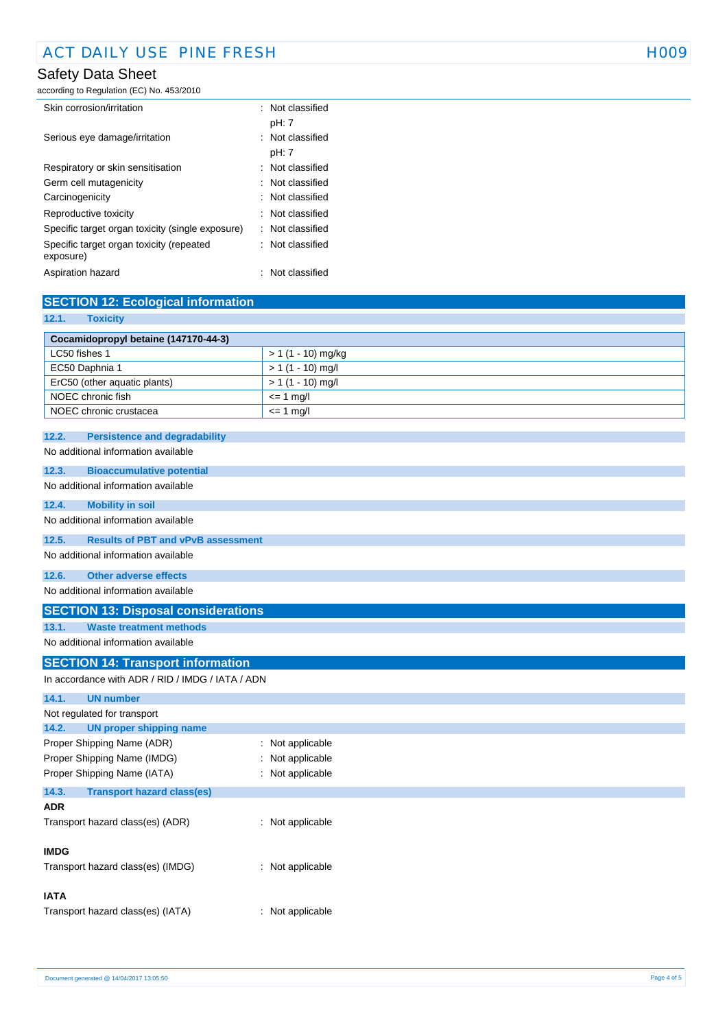# Safety Data Sheet

according to Regulation (EC) No. 453/2010

| Skin corrosion/irritation                             | $\therefore$ Not classified |
|-------------------------------------------------------|-----------------------------|
|                                                       | pH: 7                       |
| Serious eye damage/irritation                         | Not classified              |
|                                                       | pH: 7                       |
| Respiratory or skin sensitisation                     | : Not classified            |
| Germ cell mutagenicity                                | : Not classified            |
| Carcinogenicity                                       | $\therefore$ Not classified |
| Reproductive toxicity                                 | : Not classified            |
| Specific target organ toxicity (single exposure)      | : Not classified            |
| Specific target organ toxicity (repeated<br>exposure) | : Not classified            |
| Aspiration hazard                                     | : Not classified            |

| <b>SECTION 12: Ecological information</b>          |                     |  |  |
|----------------------------------------------------|---------------------|--|--|
| 12.1.<br><b>Toxicity</b>                           |                     |  |  |
| Cocamidopropyl betaine (147170-44-3)               |                     |  |  |
| LC50 fishes 1                                      | $> 1(1 - 10)$ mg/kg |  |  |
| EC50 Daphnia 1                                     | $> 1 (1 - 10)$ mg/l |  |  |
| ErC50 (other aquatic plants)                       | $> 1 (1 - 10)$ mg/l |  |  |
| NOEC chronic fish                                  | $= 1$ mg/l          |  |  |
| NOEC chronic crustacea                             | $= 1$ mg/l          |  |  |
| 12.2.<br><b>Persistence and degradability</b>      |                     |  |  |
| No additional information available                |                     |  |  |
| 12.3.<br><b>Bioaccumulative potential</b>          |                     |  |  |
| No additional information available                |                     |  |  |
| <b>Mobility in soil</b><br>12.4.                   |                     |  |  |
| No additional information available                |                     |  |  |
| <b>Results of PBT and vPvB assessment</b><br>12.5. |                     |  |  |
| No additional information available                |                     |  |  |
| 12.6.<br><b>Other adverse effects</b>              |                     |  |  |
| No additional information available                |                     |  |  |
| <b>SECTION 13: Disposal considerations</b>         |                     |  |  |
| 13.1.<br><b>Waste treatment methods</b>            |                     |  |  |
| No additional information available                |                     |  |  |
| <b>SECTION 14: Transport information</b>           |                     |  |  |
| In accordance with ADR / RID / IMDG / IATA / ADN   |                     |  |  |
| 14.1.<br><b>UN number</b>                          |                     |  |  |
| Not regulated for transport                        |                     |  |  |
| <b>UN proper shipping name</b><br>14.2.            |                     |  |  |
| Proper Shipping Name (ADR)                         | : Not applicable    |  |  |
| Proper Shipping Name (IMDG)                        | Not applicable      |  |  |
| Proper Shipping Name (IATA)                        | : Not applicable    |  |  |
| <b>Transport hazard class(es)</b><br>14.3.         |                     |  |  |
| <b>ADR</b>                                         |                     |  |  |
| Transport hazard class(es) (ADR)                   | : Not applicable    |  |  |
| <b>IMDG</b>                                        |                     |  |  |
| Transport hazard class(es) (IMDG)                  | : Not applicable    |  |  |
| <b>IATA</b>                                        |                     |  |  |
| Transport hazard class(es) (IATA)                  | : Not applicable    |  |  |